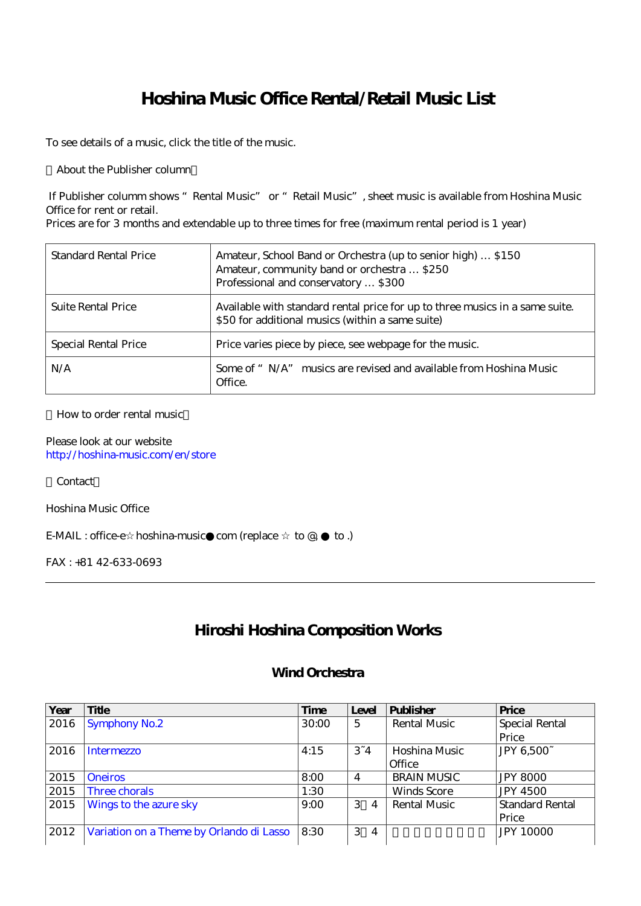## **Hoshina Music Office Rental/Retail Music List**

To see details of a music, click the title of the music.

About the Publisher column

 If Publisher columm shows "Rental Music" or "Retail Music", sheet music is available from Hoshina Music Office for rent or retail.

Prices are for 3 months and extendable up to three times for free (maximum rental period is 1 year)

| Standard Rental Price       | Amateur, School Band or Orchestra (up to senior high)  \$150<br>Amateur, community band or orchestra  \$250<br>Professional and conservatory  \$300 |
|-----------------------------|-----------------------------------------------------------------------------------------------------------------------------------------------------|
| <b>Suite Rental Price</b>   | Available with standard rental price for up to three musics in a same suite.<br>\$50 for additional musics (within a same suite)                    |
| <b>Special Rental Price</b> | Price varies piece by piece, see webpage for the music.                                                                                             |
| N/A                         | Some of " N/A" musics are revised and available from Hoshina Music<br>Office.                                                                       |

#### How to order rental music

Please look at our website <http://hoshina-music.com/en/store>

**Contact** 

Hoshina Music Office

E-MAIL : office-e hoshina-music com (replace  $\text{to } \mathcal{Q}$ ,  $\text{to }$ .)

FAX : +81 42-633-0693

### **Hiroshi Hoshina Composition Works**

#### **Wind Orchestra**

| Year | Title                                    | Time  | Level               | <b>Publisher</b>    | Price                 |
|------|------------------------------------------|-------|---------------------|---------------------|-----------------------|
| 2016 | <b>Symphony No.2</b>                     | 30:00 | 5                   | <b>Rental Music</b> | <b>Special Rental</b> |
|      |                                          |       |                     |                     | Price                 |
| 2016 | Intermezzo                               | 4:15  | $3 - 4$             | Hoshina Music       | JPY 6,500~            |
|      |                                          |       |                     | Office              |                       |
| 2015 | <b>Oneiros</b>                           | 8:00  | $\overline{4}$      | <b>BRAIN MUSIC</b>  | <b>JPY 8000</b>       |
| 2015 | Three chorals                            | 1:30  |                     | <b>Winds Score</b>  | <b>JPY 4500</b>       |
| 2015 | Wings to the azure sky                   | 9:00  | 3<br>$\overline{4}$ | Rental Music        | Standard Rental       |
|      |                                          |       |                     |                     | Price                 |
| 2012 | Variation on a Theme by Orlando di Lasso | 8:30  | 3<br>$\overline{4}$ |                     | <b>JPY 10000</b>      |
|      |                                          |       |                     |                     |                       |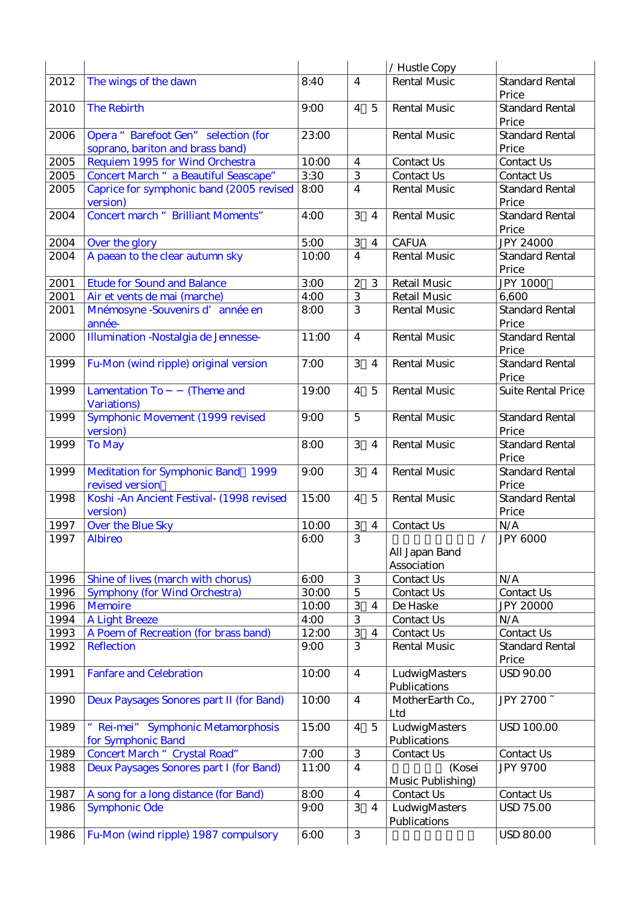|      |                                                                         |       |                         |                | / Hustle Copy                 |                                 |
|------|-------------------------------------------------------------------------|-------|-------------------------|----------------|-------------------------------|---------------------------------|
| 2012 | The wings of the dawn                                                   | 8:40  | $\overline{4}$          |                | <b>Rental Music</b>           | <b>Standard Rental</b><br>Price |
| 2010 | <b>The Rebirth</b>                                                      | 9:00  | $\overline{4}$          | $\overline{5}$ | <b>Rental Music</b>           | <b>Standard Rental</b><br>Price |
| 2006 | Opera "Barefoot Gen" selection (for<br>soprano, bariton and brass band) | 23:00 |                         |                | <b>Rental Music</b>           | <b>Standard Rental</b><br>Price |
| 2005 | Requiem 1995 for Wind Orchestra                                         | 10:00 | $\overline{4}$          |                | Contact Us                    | Contact Us                      |
| 2005 | Concert March " a Beautiful Seascape"                                   | 3:30  | 3                       |                | Contact Us                    | Contact Us                      |
| 2005 | Caprice for symphonic band (2005 revised<br>version)                    | 8:00  | $\overline{4}$          |                | <b>Rental Music</b>           | <b>Standard Rental</b><br>Price |
| 2004 | <b>Concert march " Brilliant Moments"</b>                               | 4:00  | 3                       | $\overline{4}$ | <b>Rental Music</b>           | <b>Standard Rental</b><br>Price |
| 2004 | Over the glory                                                          | 5:00  | $\,3$                   | $\overline{4}$ | <b>CAFUA</b>                  | <b>JPY 24000</b>                |
| 2004 | A paean to the clear autumn sky                                         | 10:00 | $\overline{\mathbf{4}}$ |                | Rental Music                  | <b>Standard Rental</b>          |
|      |                                                                         |       |                         |                |                               | Price                           |
| 2001 | <b>Etude for Sound and Balance</b>                                      | 3:00  | $\boldsymbol{2}$        | 3              | <b>Retail Music</b>           | <b>JPY 1000</b>                 |
| 2001 | Air et vents de mai (marche)                                            | 4:00  | 3                       |                | <b>Retail Music</b>           | 6,600                           |
| 2001 | Mnémosyne - Souvenirs d'année en<br>année-                              | 8:00  | 3                       |                | <b>Rental Music</b>           | <b>Standard Rental</b><br>Price |
| 2000 | Illumination - Nostalgia de Jennesse-                                   | 11:00 | $\overline{4}$          |                | <b>Rental Music</b>           | <b>Standard Rental</b><br>Price |
| 1999 | Fu-Mon (wind ripple) original version                                   | 7:00  | 3                       | $\overline{4}$ | <b>Rental Music</b>           | <b>Standard Rental</b><br>Price |
| 1999 | <b>Lamentation To</b><br>(Theme and<br><b>Variations</b> )              | 19:00 | $\overline{4}$          | $\overline{5}$ | <b>Rental Music</b>           | <b>Suite Rental Price</b>       |
| 1999 | Symphonic Movement (1999 revised<br>version)                            | 9:00  | $\overline{5}$          |                | <b>Rental Music</b>           | <b>Standard Rental</b><br>Price |
| 1999 | <b>To May</b>                                                           | 8:00  | 3                       | $\overline{4}$ | <b>Rental Music</b>           | <b>Standard Rental</b><br>Price |
| 1999 | Meditation for Symphonic Band 1999<br>revised version                   | 9:00  | 3                       | $\overline{4}$ | <b>Rental Music</b>           | <b>Standard Rental</b><br>Price |
| 1998 | Koshi - An Ancient Festival- (1998 revised<br>version)                  | 15:00 | $\overline{4}$          | $\overline{5}$ | <b>Rental Music</b>           | <b>Standard Rental</b><br>Price |
| 1997 | Over the Blue Sky                                                       | 10:00 | $\,3$                   | $\overline{4}$ | Contact Us                    | N/A                             |
| 1997 | <b>Albireo</b>                                                          | 6:00  | 3                       |                | All Japan Band<br>Association | <b>JPY 6000</b>                 |
| 1996 | Shine of lives (march with chorus)                                      | 6:00  | 3                       |                | Contact Us                    | N/A                             |
| 1996 | <b>Symphony (for Wind Orchestra)</b>                                    | 30:00 | $\overline{5}$          |                | Contact Us                    | Contact Us                      |
| 1996 | <b>Memoire</b>                                                          | 10:00 | 3                       | $\overline{4}$ | De Haske                      | <b>JPY 20000</b>                |
| 1994 | <b>A Light Breeze</b>                                                   | 4:00  | 3                       |                | Contact Us                    | N/A                             |
| 1993 | A Poem of Recreation (for brass band)                                   | 12:00 | 3                       | 4              | Contact Us                    | Contact Us                      |
| 1992 | <b>Reflection</b>                                                       | 9:00  | 3                       |                | <b>Rental Music</b>           | <b>Standard Rental</b><br>Price |
| 1991 | <b>Fanfare and Celebration</b>                                          | 10:00 | $\overline{4}$          |                | LudwigMasters<br>Publications | <b>USD 90.00</b>                |
| 1990 | Deux Paysages Sonores part II (for Band)                                | 10:00 | $\boldsymbol{4}$        |                | MotherEarth Co.,<br>Ltd       | JPY 2700~                       |
| 1989 | " Rei-mei" Symphonic Metamorphosis<br>for Symphonic Band                | 15:00 | $\overline{4}$          | $\overline{5}$ | LudwigMasters<br>Publications | <b>USD 100.00</b>               |
| 1989 | <b>Concert March " Crystal Road"</b>                                    | 7:00  | $\,3$                   |                | Contact Us                    | Contact Us                      |
| 1988 | Deux Paysages Sonores part I (for Band)                                 | 11:00 | $\overline{4}$          |                | (Kosei<br>Music Publishing)   | <b>JPY 9700</b>                 |
| 1987 | A song for a long distance (for Band)                                   | 8:00  | $\boldsymbol{4}$        |                | Contact Us                    | Contact Us                      |
| 1986 | <b>Symphonic Ode</b>                                                    | 9:00  | 3                       | $\overline{4}$ | LudwigMasters<br>Publications | <b>USD 75.00</b>                |
| 1986 | Fu-Mon (wind ripple) 1987 compulsory                                    | 6:00  | 3                       |                |                               | <b>USD 80.00</b>                |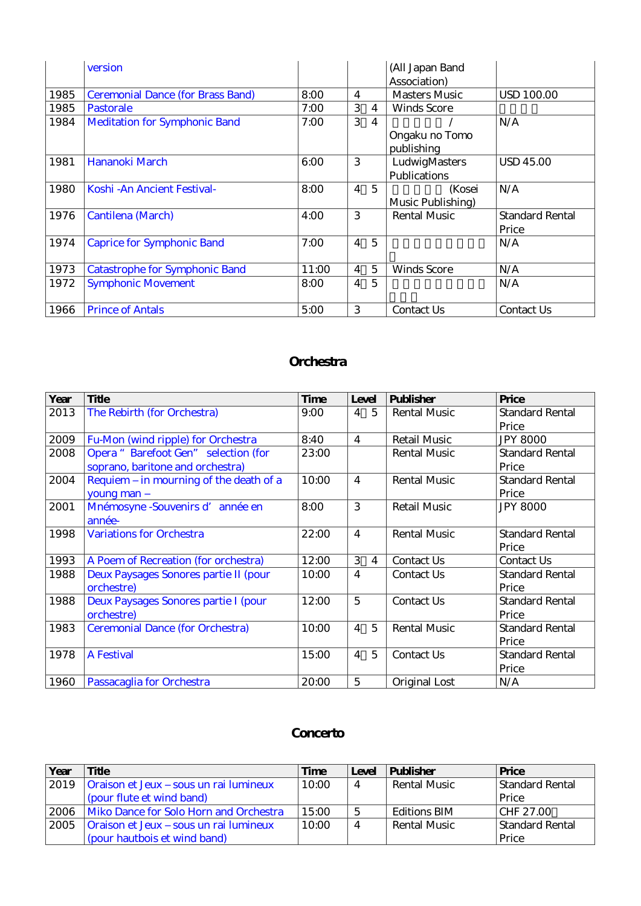|      | version                                  |       |                |                | (All Japan Band      |                        |
|------|------------------------------------------|-------|----------------|----------------|----------------------|------------------------|
|      |                                          |       |                |                | Association)         |                        |
| 1985 | <b>Ceremonial Dance (for Brass Band)</b> | 8:00  | 4              |                | <b>Masters Music</b> | <b>USD 100.00</b>      |
| 1985 | Pastorale                                | 7:00  | 3              | 4              | <b>Winds Score</b>   |                        |
| 1984 | <b>Meditation for Symphonic Band</b>     | 7:00  | 3              | 4              |                      | N/A                    |
|      |                                          |       |                |                | Ongaku no Tomo       |                        |
|      |                                          |       |                |                | publishing           |                        |
| 1981 | Hananoki March                           | 6:00  | 3              |                | LudwigMasters        | <b>USD 45.00</b>       |
|      |                                          |       |                |                | Publications         |                        |
| 1980 | Koshi - An Ancient Festival-             | 8:00  | $\overline{4}$ | $\overline{5}$ | (Kosei               | N/A                    |
|      |                                          |       |                |                | Music Publishing)    |                        |
| 1976 | Cantilena (March)                        | 4:00  | 3              |                | <b>Rental Music</b>  | <b>Standard Rental</b> |
|      |                                          |       |                |                |                      | Price                  |
| 1974 | <b>Caprice for Symphonic Band</b>        | 7:00  | $\overline{4}$ | $\overline{5}$ |                      | N/A                    |
|      |                                          |       |                |                |                      |                        |
| 1973 | <b>Catastrophe for Symphonic Band</b>    | 11:00 | $\overline{4}$ | 5              | <b>Winds Score</b>   | N/A                    |
| 1972 | <b>Symphonic Movement</b>                | 8:00  | $\overline{4}$ | 5              |                      | N/A                    |
|      |                                          |       |                |                |                      |                        |
| 1966 | <b>Prince of Antals</b>                  | 5:00  | 3              |                | Contact Us           | Contact Us             |

#### **Orchestra**

| Year | <b>Title</b>                            | <b>Time</b> | Level                            | <b>Publisher</b>    | Price                  |
|------|-----------------------------------------|-------------|----------------------------------|---------------------|------------------------|
| 2013 | The Rebirth (for Orchestra)             | 9:00        | $\overline{4}$<br>$\overline{5}$ | <b>Rental Music</b> | <b>Standard Rental</b> |
|      |                                         |             |                                  |                     | Price                  |
| 2009 | Fu-Mon (wind ripple) for Orchestra      | 8:40        | $\overline{4}$                   | <b>Retail Music</b> | <b>JPY 8000</b>        |
| 2008 | Opera "Barefoot Gen" selection (for     | 23:00       |                                  | <b>Rental Music</b> | <b>Standard Rental</b> |
|      | soprano, baritone and orchestra)        |             |                                  |                     | Price                  |
| 2004 | Requiem - in mourning of the death of a | 10:00       | $\overline{4}$                   | <b>Rental Music</b> | Standard Rental        |
|      | young man -                             |             |                                  |                     | Price                  |
| 2001 | Mnémosyne - Souvenirs d'année en        | 8:00        | 3                                | <b>Retail Music</b> | <b>JPY 8000</b>        |
|      | année-                                  |             |                                  |                     |                        |
| 1998 | <b>Variations for Orchestra</b>         | 22:00       | $\overline{4}$                   | <b>Rental Music</b> | <b>Standard Rental</b> |
|      |                                         |             |                                  |                     | Price                  |
| 1993 | A Poem of Recreation (for orchestra)    | 12:00       | 3<br>4                           | Contact Us          | Contact Us             |
| 1988 | Deux Paysages Sonores partie II (pour   | 10:00       | $\overline{4}$                   | Contact Us          | <b>Standard Rental</b> |
|      | orchestre)                              |             |                                  |                     | Price                  |
| 1988 | Deux Paysages Sonores partie I (pour    | 12:00       | 5                                | Contact Us          | <b>Standard Rental</b> |
|      | orchestre)                              |             |                                  |                     | Price                  |
| 1983 | <b>Ceremonial Dance (for Orchestra)</b> | 10:00       | 5<br>$\overline{4}$              | <b>Rental Music</b> | <b>Standard Rental</b> |
|      |                                         |             |                                  |                     | Price                  |
| 1978 | <b>A Festival</b>                       | 15:00       | $\overline{4}$<br>$\overline{5}$ | Contact Us          | <b>Standard Rental</b> |
|      |                                         |             |                                  |                     | Price                  |
| 1960 | Passacaglia for Orchestra               | 20:00       | 5                                | Original Lost       | N/A                    |

#### **Concerto**

| Year | <b>Title</b>                           | Time  | Level          | <b>Publisher</b>    | Price           |
|------|----------------------------------------|-------|----------------|---------------------|-----------------|
| 2019 | Oraison et Jeux - sous un rai lumineux | 10:00 | $\overline{4}$ | <b>Rental Music</b> | Standard Rental |
|      | (pour flute et wind band)              |       |                |                     | Price           |
| 2006 | Miko Dance for Solo Horn and Orchestra | 15:00 | 5              | Editions BIM        | CHF 27.00       |
| 2005 | Oraison et Jeux - sous un rai lumineux | 10:00 | $\overline{4}$ | Rental Music        | Standard Rental |
|      | (pour hautbois et wind band)           |       |                |                     | Price           |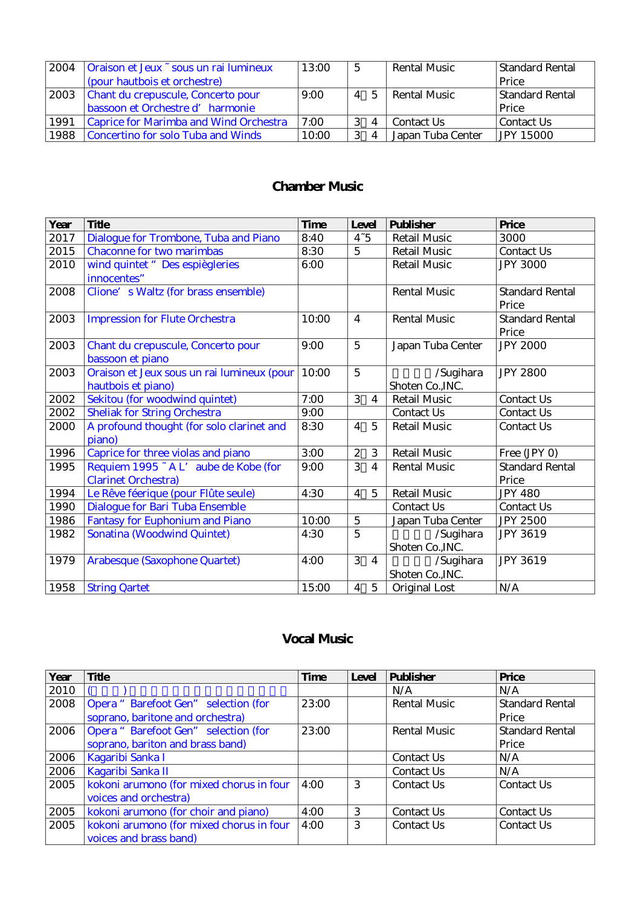| 2004 | Oraison et Jeux ~ sous un rai lumineux | 13:00 | -5                     | <b>Rental Music</b> | Standard Rental  |
|------|----------------------------------------|-------|------------------------|---------------------|------------------|
|      | (pour hautbois et orchestre)           |       |                        |                     | Price            |
| 2003 | Chant du crepuscule, Concerto pour     | 9:00  | 4 5                    | Rental Music        | Standard Rental  |
|      | bassoon et Orchestre d'harmonie        |       |                        |                     | Price            |
| 1991 | Caprice for Marimba and Wind Orchestra | 7:00  | 4                      | Contact Us          | Contact Us       |
| 1988 | Concertino for solo Tuba and Winds     | 10:00 | -3<br>$\boldsymbol{A}$ | Japan Tuba Center   | <b>JPY 15000</b> |

### **Chamber Music**

| Year | <b>Title</b>                               | <b>Time</b> | Level            |                | <b>Publisher</b>    | Price                  |
|------|--------------------------------------------|-------------|------------------|----------------|---------------------|------------------------|
| 2017 | Dialogue for Trombone, Tuba and Piano      | 8:40        | $4 - 5$          |                | <b>Retail Music</b> | 3000                   |
| 2015 | <b>Chaconne for two marimbas</b>           | 8:30        | $\overline{5}$   |                | <b>Retail Music</b> | Contact Us             |
| 2010 | wind quintet " Des espiègleries            | 6:00        |                  |                | <b>Retail Music</b> | <b>JPY 3000</b>        |
|      | innocentes"                                |             |                  |                |                     |                        |
| 2008 | Clione's Waltz (for brass ensemble)        |             |                  |                | <b>Rental Music</b> | <b>Standard Rental</b> |
|      |                                            |             |                  |                |                     | Price                  |
| 2003 | <b>Impression for Flute Orchestra</b>      | 10:00       | $\overline{4}$   |                | <b>Rental Music</b> | <b>Standard Rental</b> |
|      |                                            |             |                  |                |                     | Price                  |
| 2003 | Chant du crepuscule, Concerto pour         | 9:00        | $\overline{5}$   |                | Japan Tuba Center   | <b>JPY 2000</b>        |
|      | bassoon et piano                           |             |                  |                |                     |                        |
| 2003 | Oraison et Jeux sous un rai lumineux (pour | 10:00       | $\overline{5}$   |                | /Sugihara           | <b>JPY 2800</b>        |
|      | hautbois et piano)                         |             |                  |                | Shoten Co., INC.    |                        |
| 2002 | Sekitou (for woodwind quintet)             | 7:00        | 3                | $\overline{4}$ | <b>Retail Music</b> | Contact Us             |
| 2002 | <b>Sheliak for String Orchestra</b>        | 9:00        |                  |                | Contact Us          | Contact Us             |
| 2000 | A profound thought (for solo clarinet and  | 8:30        | $\overline{4}$   | 5              | <b>Retail Music</b> | Contact Us             |
|      | piano)                                     |             |                  |                |                     |                        |
| 1996 | Caprice for three violas and piano         | 3:00        | $\boldsymbol{z}$ | 3              | <b>Retail Music</b> | Free (JPY O)           |
| 1995 | Requiem 1995 - A L'aube de Kobe (for       | 9:00        | 3                | 4              | <b>Rental Music</b> | <b>Standard Rental</b> |
|      | <b>Clarinet Orchestra)</b>                 |             |                  |                |                     | Price                  |
| 1994 | Le Rêve féerique (pour Flûte seule)        | 4:30        | $\overline{4}$   | $\overline{5}$ | <b>Retail Music</b> | <b>JPY 480</b>         |
| 1990 | Dialogue for Bari Tuba Ensemble            |             |                  |                | Contact Us          | Contact Us             |
| 1986 | <b>Fantasy for Euphonium and Piano</b>     | 10:00       | $\overline{5}$   |                | Japan Tuba Center   | <b>JPY 2500</b>        |
| 1982 | Sonatina (Woodwind Quintet)                | 4:30        | $\overline{5}$   |                | /Sugihara           | <b>JPY 3619</b>        |
|      |                                            |             |                  |                | Shoten Co., INC.    |                        |
| 1979 | Arabesque (Saxophone Quartet)              | 4:00        | 3                | $\overline{4}$ | /Sugihara           | <b>JPY 3619</b>        |
|      |                                            |             |                  |                | Shoten Co., INC.    |                        |
| 1958 | <b>String Qartet</b>                       | 15:00       | $\overline{4}$   | 5              | Original Lost       | N/A                    |

#### **Vocal Music**

| Year | Title                                    | <b>Time</b> | Level | <b>Publisher</b>    | Price                  |
|------|------------------------------------------|-------------|-------|---------------------|------------------------|
| 2010 |                                          |             |       | N/A                 | N/A                    |
| 2008 | Opera "Barefoot Gen" selection (for      | 23:00       |       | <b>Rental Music</b> | <b>Standard Rental</b> |
|      | soprano, baritone and orchestra)         |             |       |                     | Price                  |
| 2006 | Opera "Barefoot Gen" selection (for      | 23:00       |       | <b>Rental Music</b> | <b>Standard Rental</b> |
|      | soprano, bariton and brass band)         |             |       |                     | Price                  |
| 2006 | Kagaribi Sanka I                         |             |       | Contact Us          | N/A                    |
| 2006 | Kagaribi Sanka II                        |             |       | Contact Us          | N/A                    |
| 2005 | kokoni arumono (for mixed chorus in four | 4:00        | 3     | Contact Us          | Contact Us             |
|      | voices and orchestra)                    |             |       |                     |                        |
| 2005 | kokoni arumono (for choir and piano)     | 4:00        | 3     | Contact Us          | Contact Us             |
| 2005 | kokoni arumono (for mixed chorus in four | 4:00        | 3     | Contact Us          | Contact Us             |
|      | voices and brass band)                   |             |       |                     |                        |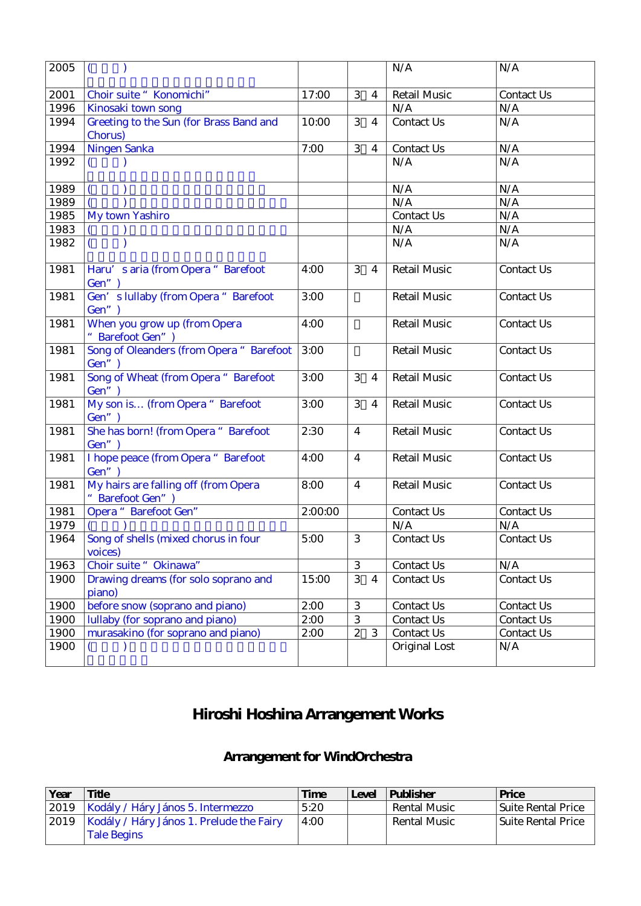| 2005 | $\overline{ }$                                         |         |                           |                  | N/A                 | N/A               |
|------|--------------------------------------------------------|---------|---------------------------|------------------|---------------------|-------------------|
| 2001 | Choir suite "Konomichi"                                | 17:00   | 3                         | $\overline{4}$   | <b>Retail Music</b> | Contact Us        |
| 1996 | Kinosaki town song                                     |         |                           |                  | N/A                 | N/A               |
| 1994 | Greeting to the Sun (for Brass Band and<br>Chorus)     | 10:00   | 3                         | $\overline{4}$   | Contact Us          | N/A               |
| 1994 | Ningen Sanka                                           | 7:00    | 3                         | $\overline{4}$   | Contact Us          | N/A               |
| 1992 |                                                        |         |                           |                  | N/A                 | N/A               |
| 1989 |                                                        |         |                           |                  | N/A                 | N/A               |
| 1989 |                                                        |         |                           |                  | N/A                 | N/A               |
| 1985 | My town Yashiro                                        |         |                           |                  | Contact Us          | N/A               |
| 1983 |                                                        |         |                           |                  | N/A                 | N/A               |
| 1982 |                                                        |         |                           |                  | N/A                 | N/A               |
| 1981 | Haru's aria (from Opera "Barefoot<br>Gen")             | 4:00    | 3                         | $\overline{4}$   | <b>Retail Music</b> | Contact Us        |
| 1981 | Gen's lullaby (from Opera "Barefoot<br>Gen")           | 3:00    |                           |                  | <b>Retail Music</b> | Contact Us        |
| 1981 | When you grow up (from Opera<br>" Barefoot Gen")       | 4:00    |                           |                  | <b>Retail Music</b> | <b>Contact Us</b> |
| 1981 | Song of Oleanders (from Opera "Barefoot<br>Gen")       | 3:00    |                           |                  | <b>Retail Music</b> | <b>Contact Us</b> |
| 1981 | Song of Wheat (from Opera "Barefoot<br>Gen")           | 3:00    | 3                         | $\overline{4}$   | <b>Retail Music</b> | Contact Us        |
| 1981 | My son is (from Opera "Barefoot<br>Gen")               | 3:00    | 3                         | $\overline{4}$   | <b>Retail Music</b> | Contact Us        |
| 1981 | She has born! (from Opera "Barefoot<br>Gen")           | 2:30    | $\overline{4}$            |                  | <b>Retail Music</b> | Contact Us        |
| 1981 | I hope peace (from Opera "Barefoot<br>Gen")            | 4:00    | $\overline{4}$            |                  | <b>Retail Music</b> | Contact Us        |
| 1981 | My hairs are falling off (from Opera<br>Barefoot Gen") | 8:00    | $\overline{4}$            |                  | <b>Retail Music</b> | Contact Us        |
| 1981 | Opera "Barefoot Gen"                                   | 2:00:00 |                           |                  | Contact Us          | Contact Us        |
| 1979 |                                                        |         |                           |                  | N/A                 | N/A               |
| 1964 | Song of shells (mixed chorus in four<br>voices)        | 5:00    | 3                         |                  | Contact Us          | Contact Us        |
| 1963 | Choir suite " Okinawa"                                 |         | 3                         |                  | Contact Us          | N/A               |
| 1900 | Drawing dreams (for solo soprano and<br>piano)         | 15:00   | 3                         | $\boldsymbol{4}$ | Contact Us          | Contact Us        |
| 1900 | before snow (soprano and piano)                        | 2:00    | $\ensuremath{\mathbf{3}}$ |                  | Contact Us          | Contact Us        |
| 1900 | lullaby (for soprano and piano)                        | 2:00    | 3                         |                  | Contact Us          | Contact Us        |
| 1900 | murasakino (for soprano and piano)                     | 2:00    | $\boldsymbol{2}$          | 3                | Contact Us          | Contact Us        |
| 1900 |                                                        |         |                           |                  | Original Lost       | N/A               |

# **Hiroshi Hoshina Arrangement Works**

### **Arrangement for WindOrchestra**

| Year | <b>Title</b>                             | <b>Time</b> | Level | <b>Publisher</b> | Price              |
|------|------------------------------------------|-------------|-------|------------------|--------------------|
|      | 2019   Kodály / Háry János 5. Intermezzo | 5:20        |       | Rental Music     | Suite Rental Price |
| 2019 | Kodály / Háry János 1. Prelude the Fairy | 4:00        |       | Rental Music     | Suite Rental Price |
|      | <b>Tale Begins</b>                       |             |       |                  |                    |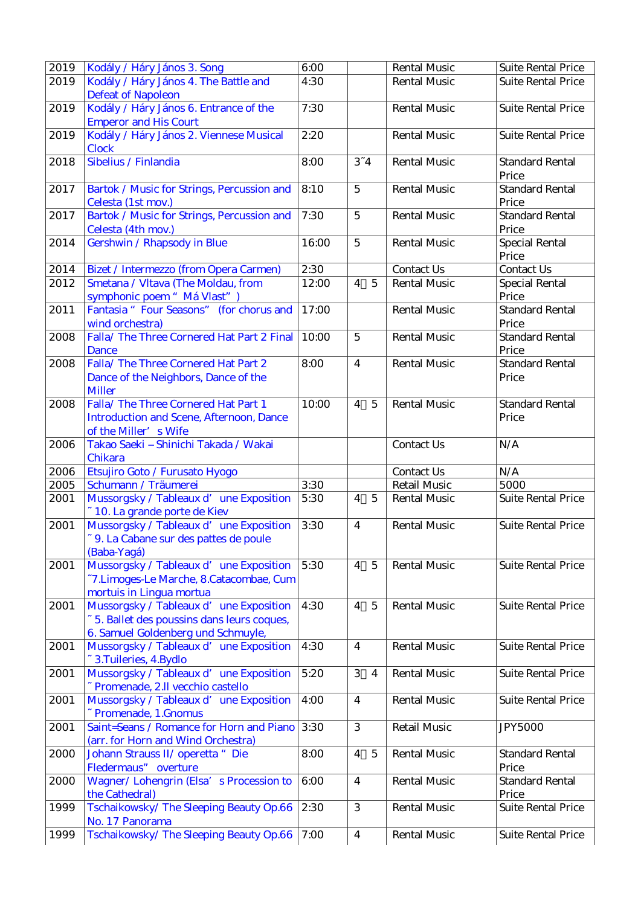| 2019 | Kodály / Háry János 3. Song                                                    | 6:00  |                                  | <b>Rental Music</b> | <b>Suite Rental Price</b>       |
|------|--------------------------------------------------------------------------------|-------|----------------------------------|---------------------|---------------------------------|
| 2019 | Kodály / Háry János 4. The Battle and                                          | 4:30  |                                  | <b>Rental Music</b> | <b>Suite Rental Price</b>       |
|      | <b>Defeat of Napoleon</b>                                                      |       |                                  |                     |                                 |
| 2019 | Kodály / Háry János 6. Entrance of the                                         | 7:30  |                                  | <b>Rental Music</b> | <b>Suite Rental Price</b>       |
|      | <b>Emperor and His Court</b>                                                   |       |                                  |                     |                                 |
| 2019 | Kodály / Háry János 2. Viennese Musical                                        | 2:20  |                                  | <b>Rental Music</b> | <b>Suite Rental Price</b>       |
|      | Clock                                                                          |       |                                  |                     |                                 |
| 2018 | Sibelius / Finlandia                                                           | 8:00  | $3 - 4$                          | <b>Rental Music</b> | <b>Standard Rental</b>          |
|      |                                                                                |       |                                  |                     | Price                           |
| 2017 | Bartok / Music for Strings, Percussion and                                     | 8:10  | $\overline{5}$                   | <b>Rental Music</b> | <b>Standard Rental</b>          |
|      | Celesta (1st mov.)                                                             |       |                                  |                     | Price                           |
| 2017 | Bartok / Music for Strings, Percussion and                                     | 7:30  | $\overline{5}$                   | <b>Rental Music</b> | <b>Standard Rental</b>          |
|      | Celesta (4th mov.)                                                             |       |                                  |                     | Price                           |
| 2014 | Gershwin / Rhapsody in Blue                                                    | 16:00 | $\overline{5}$                   | <b>Rental Music</b> | Special Rental                  |
|      |                                                                                |       |                                  |                     | Price                           |
| 2014 | Bizet / Intermezzo (from Opera Carmen)                                         | 2:30  |                                  | Contact Us          | Contact Us                      |
| 2012 | Smetana / Vltava (The Moldau, from                                             | 12:00 | $\overline{5}$<br>$\overline{4}$ | <b>Rental Music</b> | Special Rental                  |
|      | symphonic poem "Má Vlast")                                                     |       |                                  |                     | Price                           |
| 2011 | Fantasia "Four Seasons" (for chorus and                                        | 17:00 |                                  | <b>Rental Music</b> | <b>Standard Rental</b>          |
|      | wind orchestra)                                                                |       |                                  |                     | Price                           |
| 2008 | Falla/The Three Cornered Hat Part 2 Final                                      | 10:00 | $\overline{5}$                   | <b>Rental Music</b> | <b>Standard Rental</b>          |
|      | Dance                                                                          |       |                                  |                     | Price                           |
| 2008 | Falla/The Three Cornered Hat Part 2                                            | 8:00  | $\overline{4}$                   | <b>Rental Music</b> | <b>Standard Rental</b>          |
|      | Dance of the Neighbors, Dance of the                                           |       |                                  |                     | Price                           |
|      | <b>Miller</b>                                                                  |       |                                  |                     |                                 |
| 2008 | Falla/The Three Cornered Hat Part 1                                            | 10:00 | 4 5                              | <b>Rental Music</b> | <b>Standard Rental</b>          |
|      | <b>Introduction and Scene, Afternoon, Dance</b>                                |       |                                  |                     | Price                           |
|      | of the Miller's Wife                                                           |       |                                  |                     |                                 |
| 2006 | Takao Saeki - Shinichi Takada / Wakai                                          |       |                                  | Contact Us          | N/A                             |
|      | Chikara                                                                        |       |                                  |                     |                                 |
| 2006 | Etsujiro Goto / Furusato Hyogo                                                 |       |                                  | Contact Us          | N/A                             |
| 2005 | Schumann / Träumerei                                                           | 3:30  |                                  | <b>Retail Music</b> | 5000                            |
| 2001 | Mussorgsky / Tableaux d' une Exposition                                        | 5:30  | $\overline{4}$<br>$\overline{5}$ | <b>Rental Music</b> | <b>Suite Rental Price</b>       |
|      | ~10. La grande porte de Kiev                                                   |       |                                  |                     |                                 |
| 2001 | Mussorgsky / Tableaux d' une Exposition                                        | 3:30  | $\overline{4}$                   | <b>Rental Music</b> | <b>Suite Rental Price</b>       |
|      | ~ 9. La Cabane sur des pattes de poule                                         |       |                                  |                     |                                 |
|      | (Baba-Yagá)                                                                    |       |                                  |                     |                                 |
| 2001 | Mussorgsky / Tableaux d'une Exposition                                         | 5:30  | $\overline{4}$<br>$\overline{5}$ | <b>Rental Music</b> | <b>Suite Rental Price</b>       |
|      | ~7.Limoges-Le Marche, 8.Catacombae, Cum                                        |       |                                  |                     |                                 |
|      | mortuis in Lingua mortua                                                       |       |                                  |                     |                                 |
| 2001 | Mussorgsky / Tableaux d' une Exposition                                        | 4:30  | $\overline{5}$<br>$\overline{4}$ | <b>Rental Music</b> | <b>Suite Rental Price</b>       |
|      | ~ 5. Ballet des poussins dans leurs coques,                                    |       |                                  |                     |                                 |
|      | 6. Samuel Goldenberg und Schmuyle,                                             |       |                                  |                     |                                 |
| 2001 | Mussorgsky / Tableaux d'une Exposition                                         | 4:30  | $\overline{4}$                   | <b>Rental Music</b> | <b>Suite Rental Price</b>       |
|      | ~ 3. Tuileries, 4. Bydlo                                                       |       |                                  |                     |                                 |
| 2001 | Mussorgsky / Tableaux d' une Exposition                                        | 5:20  | 3<br>4                           | <b>Rental Music</b> | <b>Suite Rental Price</b>       |
|      | ~ Promenade, 2.ll vecchio castello                                             |       |                                  |                     |                                 |
| 2001 | Mussorgsky / Tableaux d'une Exposition                                         | 4:00  | $\boldsymbol{4}$                 | <b>Rental Music</b> | <b>Suite Rental Price</b>       |
|      | ~ Promenade, 1.Gnomus                                                          |       |                                  |                     |                                 |
| 2001 | Saint=Seans / Romance for Horn and Piano<br>(arr. for Horn and Wind Orchestra) | 3:30  | 3                                | <b>Retail Music</b> | <b>JPY5000</b>                  |
|      |                                                                                | 8:00  | $\overline{5}$                   | <b>Rental Music</b> | <b>Standard Rental</b>          |
| 2000 | Johann Strauss II/ operetta " Die                                              |       | $\overline{4}$                   |                     |                                 |
|      | Fledermaus" overture<br>Wagner/Lohengrin (Elsa's Procession to                 | 6:00  | $\boldsymbol{4}$                 | <b>Rental Music</b> | Price<br><b>Standard Rental</b> |
| 2000 |                                                                                |       |                                  |                     | Price                           |
| 1999 | the Cathedral)<br>Tschaikowsky/The Sleeping Beauty Op.66                       | 2:30  | 3                                | <b>Rental Music</b> | <b>Suite Rental Price</b>       |
|      | No. 17 Panorama                                                                |       |                                  |                     |                                 |
| 1999 | Tschaikowsky/The Sleeping Beauty Op.66                                         | 7:00  | $\overline{4}$                   | <b>Rental Music</b> | <b>Suite Rental Price</b>       |
|      |                                                                                |       |                                  |                     |                                 |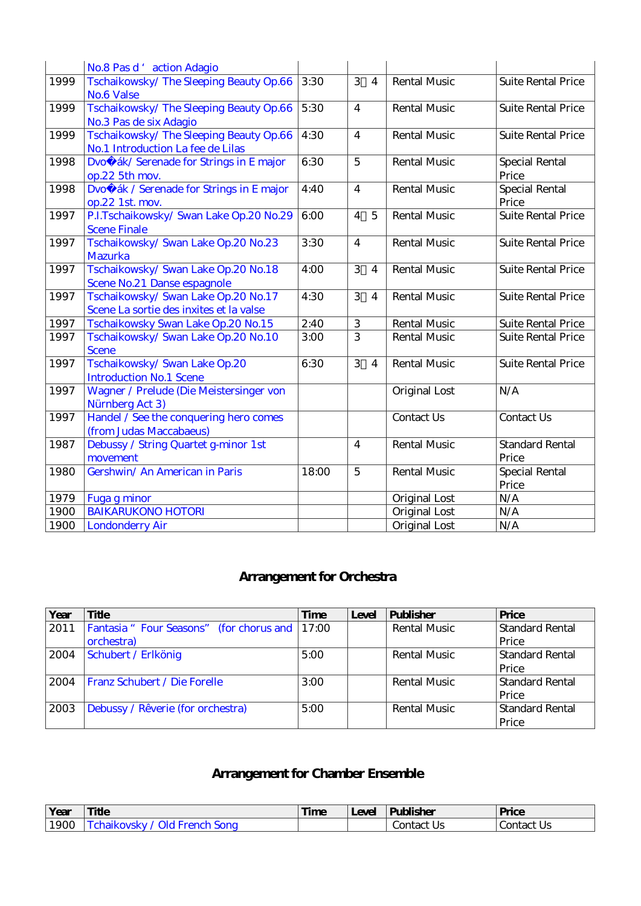|      | No.8 Pas d'action Adagio                                       |       |                         |                |                     |                           |
|------|----------------------------------------------------------------|-------|-------------------------|----------------|---------------------|---------------------------|
| 1999 | Tschaikowsky/The Sleeping Beauty Op.66                         | 3:30  | 3                       | $\overline{4}$ | <b>Rental Music</b> | <b>Suite Rental Price</b> |
|      | No.6 Valse                                                     |       |                         |                |                     |                           |
| 1999 | Tschaikowsky/The Sleeping Beauty Op.66                         | 5:30  | $\overline{4}$          |                | <b>Rental Music</b> | <b>Suite Rental Price</b> |
|      | No.3 Pas de six Adagio                                         |       |                         |                |                     |                           |
| 1999 | Tschaikowsky/The Sleeping Beauty Op.66                         | 4:30  | $\overline{4}$          |                | <b>Rental Music</b> | <b>Suite Rental Price</b> |
|      | No.1 Introduction La fee de Lilas                              |       |                         |                |                     |                           |
| 1998 | Dvo ák/Serenade for Strings in E major                         | 6:30  | $\overline{5}$          |                | <b>Rental Music</b> | <b>Special Rental</b>     |
|      | op.22 5th mov.                                                 |       |                         |                |                     | Price                     |
| 1998 | Dvo ák / Serenade for Strings in E major                       | 4:40  | $\overline{4}$          |                | <b>Rental Music</b> | <b>Special Rental</b>     |
|      | op.22 1st. mov.                                                |       |                         |                |                     | Price                     |
| 1997 | P.I.Tschaikowsky/Swan Lake Op.20 No.29                         | 6:00  | $\overline{4}$          | $\overline{5}$ | <b>Rental Music</b> | <b>Suite Rental Price</b> |
|      | <b>Scene Finale</b>                                            |       |                         |                |                     |                           |
| 1997 | Tschaikowsky/Swan Lake Op.20 No.23                             | 3:30  | $\overline{4}$          |                | <b>Rental Music</b> | <b>Suite Rental Price</b> |
|      | <b>Mazurka</b>                                                 |       |                         |                |                     |                           |
| 1997 | Tschaikowsky/Swan Lake Op.20 No.18                             | 4:00  | 3                       | $\overline{4}$ | <b>Rental Music</b> | <b>Suite Rental Price</b> |
|      | Scene No.21 Danse espagnole                                    |       |                         |                |                     |                           |
| 1997 | Tschaikowsky/Swan Lake Op.20 No.17                             | 4:30  | 3                       | $\overline{4}$ | <b>Rental Music</b> | <b>Suite Rental Price</b> |
|      | Scene La sortie des inxites et la valse                        |       |                         |                |                     |                           |
| 1997 | Tschaikowsky Swan Lake Op.20 No.15                             | 2:40  | $\,3$<br>$\overline{3}$ |                | <b>Rental Music</b> | <b>Suite Rental Price</b> |
| 1997 | Tschaikowsky/Swan Lake Op.20 No.10                             | 3:00  |                         |                | <b>Rental Music</b> | <b>Suite Rental Price</b> |
|      | <b>Scene</b>                                                   |       | 3                       |                | <b>Rental Music</b> |                           |
| 1997 | Tschaikowsky/Swan Lake Op.20<br><b>Introduction No.1 Scene</b> | 6:30  |                         | $\overline{4}$ |                     | <b>Suite Rental Price</b> |
| 1997 | Wagner / Prelude (Die Meistersinger von                        |       |                         |                | Original Lost       | N/A                       |
|      | Nürnberg Act 3)                                                |       |                         |                |                     |                           |
| 1997 | Handel / See the conquering hero comes                         |       |                         |                | <b>Contact Us</b>   | Contact Us                |
|      | (from Judas Maccabaeus)                                        |       |                         |                |                     |                           |
| 1987 | Debussy / String Quartet g-minor 1st                           |       | $\overline{4}$          |                | <b>Rental Music</b> | <b>Standard Rental</b>    |
|      | movement                                                       |       |                         |                |                     | Price                     |
| 1980 | Gershwin/ An American in Paris                                 | 18:00 | $\overline{5}$          |                | <b>Rental Music</b> | <b>Special Rental</b>     |
|      |                                                                |       |                         |                |                     | Price                     |
| 1979 | Fuga g minor                                                   |       |                         |                | Original Lost       | N/A                       |
| 1900 | <b>BAIKARUKONO HOTORI</b>                                      |       |                         |                | Original Lost       | N/A                       |
| 1900 | <b>Londonderry Air</b>                                         |       |                         |                | Original Lost       | N/A                       |

### **Arrangement for Orchestra**

| Year | <b>Title</b>                                  | Time | Level | <b>Publisher</b>    | Price                  |
|------|-----------------------------------------------|------|-------|---------------------|------------------------|
| 2011 | Fantasia "Four Seasons" (for chorus and 17:00 |      |       | <b>Rental Music</b> | <b>Standard Rental</b> |
|      | orchestra)                                    |      |       |                     | Price                  |
| 2004 | Schubert / Erlkönig                           | 5:00 |       | <b>Rental Music</b> | Standard Rental        |
|      |                                               |      |       |                     | Price                  |
| 2004 | Franz Schubert / Die Forelle                  | 3:00 |       | Rental Music        | <b>Standard Rental</b> |
|      |                                               |      |       |                     | Price                  |
| 2003 | Debussy / Rêverie (for orchestra)             | 5:00 |       | <b>Rental Music</b> | Standard Rental        |
|      |                                               |      |       |                     | Price                  |

## **Arrangement for Chamber Ensemble**

| Year | <b>Title</b>                                     | <b>Time</b> | Level | <b>Publisher</b> | Price        |
|------|--------------------------------------------------|-------------|-------|------------------|--------------|
| 1900 | $\cap$ dd French<br><u>I'chaikovsky </u><br>Song |             |       | Contact<br>US    | Contact<br>R |